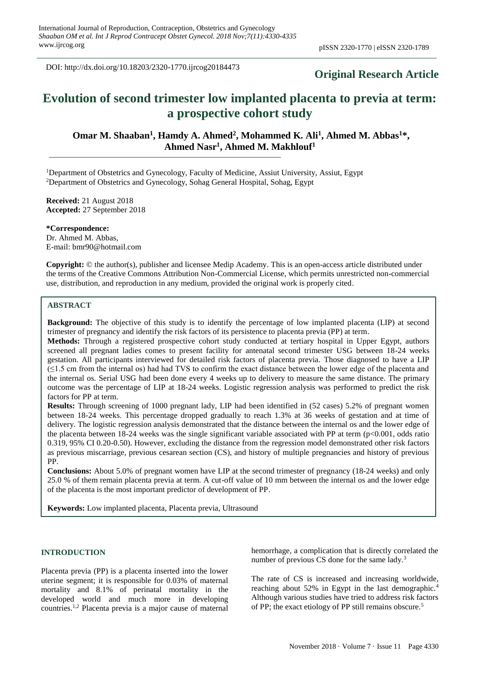DOI: http://dx.doi.org/10.18203/2320-1770.ijrcog20184473

# **Original Research Article**

# **Evolution of second trimester low implanted placenta to previa at term: a prospective cohort study**

**Omar M. Shaaban<sup>1</sup> , Hamdy A. Ahmed<sup>2</sup> , Mohammed K. Ali<sup>1</sup> , Ahmed M. Abbas<sup>1</sup>\*, Ahmed Nasr<sup>1</sup> , Ahmed M. Makhlouf<sup>1</sup>**

<sup>1</sup>Department of Obstetrics and Gynecology, Faculty of Medicine, Assiut University, Assiut, Egypt <sup>2</sup>Department of Obstetrics and Gynecology, Sohag General Hospital, Sohag, Egypt

**Received:** 21 August 2018 **Accepted:** 27 September 2018

**\*Correspondence:** Dr. Ahmed M. Abbas, E-mail: bmr90@hotmail.com

**Copyright:** © the author(s), publisher and licensee Medip Academy. This is an open-access article distributed under the terms of the Creative Commons Attribution Non-Commercial License, which permits unrestricted non-commercial use, distribution, and reproduction in any medium, provided the original work is properly cited.

## **ABSTRACT**

**Background:** The objective of this study is to identify the percentage of low implanted placenta (LIP) at second trimester of pregnancy and identify the risk factors of its persistence to placenta previa (PP) at term.

**Methods:** Through a registered prospective cohort study conducted at tertiary hospital in Upper Egypt, authors screened all pregnant ladies comes to present facility for antenatal second trimester USG between 18-24 weeks gestation. All participants interviewed for detailed risk factors of placenta previa. Those diagnosed to have a LIP (≤1.5 cm from the internal os) had had TVS to confirm the exact distance between the lower edge of the placenta and the internal os. Serial USG had been done every 4 weeks up to delivery to measure the same distance. The primary outcome was the percentage of LIP at 18-24 weeks. Logistic regression analysis was performed to predict the risk factors for PP at term.

**Results:** Through screening of 1000 pregnant lady, LIP had been identified in (52 cases) 5.2% of pregnant women between 18-24 weeks. This percentage dropped gradually to reach 1.3% at 36 weeks of gestation and at time of delivery. The logistic regression analysis demonstrated that the distance between the internal os and the lower edge of the placenta between 18-24 weeks was the single significant variable associated with PP at term  $(p<0.001,$  odds ratio 0.319, 95% CI 0.20-0.50). However, excluding the distance from the regression model demonstrated other risk factors as previous miscarriage, previous cesarean section (CS), and history of multiple pregnancies and history of previous PP.

**Conclusions:** About 5.0% of pregnant women have LIP at the second trimester of pregnancy (18-24 weeks) and only 25.0 % of them remain placenta previa at term. A cut-off value of 10 mm between the internal os and the lower edge of the placenta is the most important predictor of development of PP.

**Keywords:** Low implanted placenta, Placenta previa, Ultrasound

## **INTRODUCTION**

Placenta previa (PP) is a placenta inserted into the lower uterine segment; it is responsible for 0.03% of maternal mortality and 8.1% of perinatal mortality in the developed world and much more in developing countries.1,2 Placenta previa is a major cause of maternal hemorrhage, a complication that is directly correlated the number of previous CS done for the same lady.<sup>3</sup>

The rate of CS is increased and increasing worldwide, reaching about 52% in Egypt in the last demographic.<sup>4</sup> Although various studies have tried to address risk factors of PP; the exact etiology of PP still remains obscure.<sup>5</sup>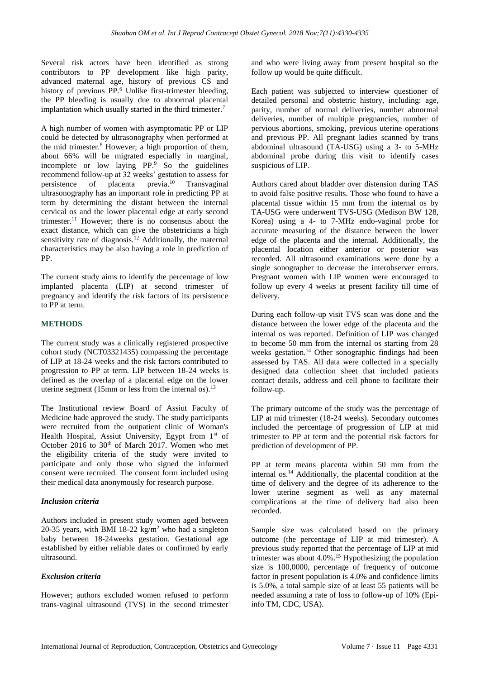Several risk actors have been identified as strong contributors to PP development like high parity, advanced maternal age, history of previous CS and history of previous PP.<sup>6</sup> Unlike first-trimester bleeding, the PP bleeding is usually due to abnormal placental implantation which usually started in the third trimester.<sup>7</sup>

A high number of women with asymptomatic PP or LIP could be detected by ultrasonography when performed at the mid trimester.<sup>8</sup> However; a high proportion of them, about 66% will be migrated especially in marginal, incomplete or low laying PP.<sup>9</sup> So the guidelines recommend follow-up at 32 weeks' gestation to assess for persistence of placenta previa.<sup>10</sup> Transvaginal ultrasonography has an important role in predicting PP at term by determining the distant between the internal cervical os and the lower placental edge at early second trimester.<sup>11</sup> However; there is no consensus about the exact distance, which can give the obstetricians a high sensitivity rate of diagnosis.<sup>12</sup> Additionally, the maternal characteristics may be also having a role in prediction of PP.

The current study aims to identify the percentage of low implanted placenta (LIP) at second trimester of pregnancy and identify the risk factors of its persistence to PP at term.

## **METHODS**

The current study was a clinically registered prospective cohort study (NCT03321435) compassing the percentage of LIP at 18-24 weeks and the risk factors contributed to progression to PP at term. LIP between 18-24 weeks is defined as the overlap of a placental edge on the lower uterine segment (15mm or less from the internal os).<sup>13</sup>

The Institutional review Board of Assiut Faculty of Medicine hade approved the study. The study participants were recruited from the outpatient clinic of Woman's Health Hospital, Assiut University, Egypt from 1st of October 2016 to  $30<sup>th</sup>$  of March 2017. Women who met the eligibility criteria of the study were invited to participate and only those who signed the informed consent were recruited. The consent form included using their medical data anonymously for research purpose.

## *Inclusion criteria*

Authors included in present study women aged between 20-35 years, with BMI 18-22 kg/m<sup>2</sup> who had a singleton baby between 18-24weeks gestation. Gestational age established by either reliable dates or confirmed by early ultrasound.

## *Exclusion criteria*

However; authors excluded women refused to perform trans-vaginal ultrasound (TVS) in the second trimester and who were living away from present hospital so the follow up would be quite difficult.

Each patient was subjected to interview questioner of detailed personal and obstetric history, including: age, parity, number of normal deliveries, number abnormal deliveries, number of multiple pregnancies, number of pervious abortions, smoking, previous uterine operations and previous PP. All pregnant ladies scanned by trans abdominal ultrasound (TA-USG) using a 3- to 5-MHz abdominal probe during this visit to identify cases suspicious of LIP.

Authors cared about bladder over distension during TAS to avoid false positive results. Those who found to have a placental tissue within 15 mm from the internal os by TA-USG were underwent TVS-USG (Medison BW 128, Korea) using a 4- to 7-MHz endo-vaginal probe for accurate measuring of the distance between the lower edge of the placenta and the internal. Additionally, the placental location either anterior or posterior was recorded. All ultrasound examinations were done by a single sonographer to decrease the interobserver errors. Pregnant women with LIP women were encouraged to follow up every 4 weeks at present facility till time of delivery.

During each follow-up visit TVS scan was done and the distance between the lower edge of the placenta and the internal os was reported*.* Definition of LIP was changed to become 50 mm from the internal os starting from 28 weeks gestation.<sup>14</sup> Other sonographic findings had been assessed by TAS. All data were collected in a specially designed data collection sheet that included patients contact details, address and cell phone to facilitate their follow-up.

The primary outcome of the study was the percentage of LIP at mid trimester (18-24 weeks). Secondary outcomes included the percentage of progression of LIP at mid trimester to PP at term and the potential risk factors for prediction of development of PP.

PP at term means placenta within 50 mm from the internal os.<sup>14</sup> Additionally, the placental condition at the time of delivery and the degree of its adherence to the lower uterine segment as well as any maternal complications at the time of delivery had also been recorded.

Sample size was calculated based on the primary outcome (the percentage of LIP at mid trimester). A previous study reported that the percentage of LIP at mid trimester was about  $4.0\%$ .<sup>15</sup> Hypothesizing the population size is 100,0000, percentage of frequency of outcome factor in present population is 4.0% and confidence limits is 5.0%, a total sample size of at least 55 patients will be needed assuming a rate of loss to follow-up of 10% (Epiinfo TM, CDC, USA).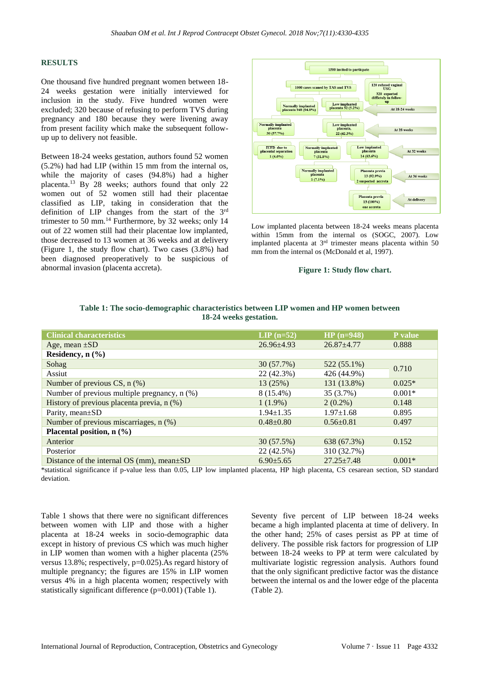#### **RESULTS**

One thousand five hundred pregnant women between 18- 24 weeks gestation were initially interviewed for inclusion in the study. Five hundred women were excluded; 320 because of refusing to perform TVS during pregnancy and 180 because they were livening away from present facility which make the subsequent followup up to delivery not feasible.

Between 18-24 weeks gestation, authors found 52 women (5.2%) had had LIP (within 15 mm from the internal os, while the majority of cases (94.8%) had a higher placenta.<sup>13</sup> By 28 weeks; authors found that only 22 women out of 52 women still had their placentae classified as LIP, taking in consideration that the definition of LIP changes from the start of the 3rd trimester to 50 mm.<sup>14</sup> Furthermore, by 32 weeks; only 14 out of 22 women still had their placentae low implanted, those decreased to 13 women at 36 weeks and at delivery (Figure 1, the study flow chart). Two cases (3.8%) had been diagnosed preoperatively to be suspicious of abnormal invasion (placenta accreta).



Low implanted placenta between 18-24 weeks means placenta within 15mm from the internal os (SOGC, 2007). Low implanted placenta at 3<sup>rd</sup> trimester means placenta within 50 mm from the internal os (McDonald et al, 1997).

### **Figure 1: Study flow chart.**

| <b>Clinical characteristics</b>                   | $LIP$ (n=52)    | $HP(n=948)$     | P value  |
|---------------------------------------------------|-----------------|-----------------|----------|
| Age, mean $\pm SD$                                | $26.96 + 4.93$  | $26.87 + 4.77$  | 0.888    |
| Residency, $n$ $(\frac{9}{6})$                    |                 |                 |          |
| Sohag                                             | 30 (57.7%)      | 522 (55.1%)     | 0.710    |
| Assiut                                            | 22 (42.3%)      | 426 (44.9%)     |          |
| Number of previous $CS$ , n $(\%)$                | 13(25%)         | 131 (13.8%)     | $0.025*$ |
| Number of previous multiple pregnancy, n (%)      | $8(15.4\%)$     | 35 (3.7%)       | $0.001*$ |
| History of previous placenta previa, n (%)        | $1(1.9\%)$      | $2(0.2\%)$      | 0.148    |
| Parity, mean $\pm SD$                             | $1.94 \pm 1.35$ | $1.97 \pm 1.68$ | 0.895    |
| Number of previous miscarriages, n (%)            | $0.48 \pm 0.80$ | $0.56 \pm 0.81$ | 0.497    |
| Placental position, n (%)                         |                 |                 |          |
| Anterior                                          | 30(57.5%)       | 638 (67.3%)     | 0.152    |
| Posterior                                         | 22 (42.5%)      | 310 (32.7%)     |          |
| Distance of the internal $OS$ (mm), mean $\pm SD$ | $6.90 + 5.65$   | $27.25 + 7.48$  | $0.001*$ |

**Table 1: The socio-demographic characteristics between LIP women and HP women between 18-24 weeks gestation.**

\*statistical significance if p-value less than 0.05, LIP low implanted placenta, HP high placenta, CS cesarean section, SD standard deviation.

Table 1 shows that there were no significant differences between women with LIP and those with a higher placenta at 18-24 weeks in socio-demographic data except in history of previous CS which was much higher in LIP women than women with a higher placenta (25% versus 13.8%; respectively, p=0.025).As regard history of multiple pregnancy; the figures are 15% in LIP women versus 4% in a high placenta women; respectively with statistically significant difference (p=0.001) (Table 1).

Seventy five percent of LIP between 18-24 weeks became a high implanted placenta at time of delivery. In the other hand; 25% of cases persist as PP at time of delivery. The possible risk factors for progression of LIP between 18-24 weeks to PP at term were calculated by multivariate logistic regression analysis. Authors found that the only significant predictive factor was the distance between the internal os and the lower edge of the placenta (Table 2).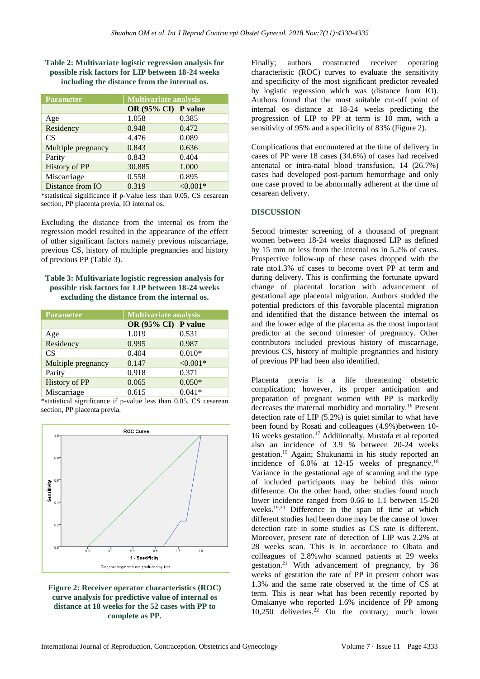## **Table 2: Multivariate logistic regression analysis for possible risk factors for LIP between 18-24 weeks including the distance from the internal os.**

| Parameter            | <b>Multivariate analysis</b> |            |  |
|----------------------|------------------------------|------------|--|
|                      | OR (95% CI) P value          |            |  |
| Age                  | 1.058                        | 0.385      |  |
| Residency            | 0.948                        | 0.472      |  |
| <b>CS</b>            | 4.476                        | 0.089      |  |
| Multiple pregnancy   | 0.843                        | 0.636      |  |
| Parity               | 0.843                        | 0.404      |  |
| <b>History of PP</b> | 30.885                       | 1.000      |  |
| Miscarriage          | 0.558                        | 0.895      |  |
| Distance from IO     | 0.319                        | $< 0.001*$ |  |

\*statistical significance if p-Value less than 0.05, CS cesarean section, PP placenta previa, IO internal os.

Excluding the distance from the internal os from the regression model resulted in the appearance of the effect of other significant factors namely previous miscarriage, previous CS, history of multiple pregnancies and history of previous PP (Table 3).

## **Table 3: Multivariate logistic regression analysis for possible risk factors for LIP between 18-24 weeks excluding the distance from the internal os.**

| Parameter            | <b>Multivariate analysis</b> |            |
|----------------------|------------------------------|------------|
|                      | OR (95% CI) P value          |            |
| Age                  | 1.019                        | 0.531      |
| Residency            | 0.995                        | 0.987      |
| <b>CS</b>            | 0.404                        | $0.010*$   |
| Multiple pregnancy   | 0.147                        | $< 0.001*$ |
| Parity               | 0.918                        | 0.371      |
| <b>History of PP</b> | 0.065                        | $0.050*$   |
| Miscarriage          | 0.615                        | $0.041*$   |

\*statistical significance if p-value less than 0.05, CS cesarean section, PP placenta previa.





Finally; authors constructed receiver operating characteristic (ROC) curves to evaluate the sensitivity and specificity of the most significant predictor revealed by logistic regression which was (distance from IO). Authors found that the most suitable cut-off point of internal os distance at 18-24 weeks predicting the progression of LIP to PP at term is 10 mm, with a sensitivity of 95% and a specificity of 83% (Figure 2).

Complications that encountered at the time of delivery in cases of PP were 18 cases (34.6%) of cases had received antenatal or intra-natal blood transfusion, 14 (26.7%) cases had developed post-partum hemorrhage and only one case proved to be abnormally adherent at the time of cesarean delivery.

## **DISCUSSION**

Second trimester screening of a thousand of pregnant women between 18-24 weeks diagnosed LIP as defined by 15 mm or less from the internal os in 5.2% of cases. Prospective follow-up of these cases dropped with the rate nto1.3% of cases to become overt PP at term and during delivery. This is confirming the fortunate upward change of placental location with advancement of gestational age placental migration. Authors studded the potential predictors of this favorable placental migration and identified that the distance between the internal os and the lower edge of the placenta as the most important predictor at the second trimester of pregnancy. Other contributors included previous history of miscarriage, previous CS, history of multiple pregnancies and history of previous PP had been also identified.

Placenta previa is a life threatening obstetric complication; however, its proper anticipation and preparation of pregnant women with PP is markedly decreases the maternal morbidity and mortality.<sup>16</sup> Present detection rate of LIP (5.2%) is quiet similar to what have been found by Rosati and colleagues (4.9%)between 10- 16 weeks gestation.<sup>17</sup> Additionally, Mustafa et al reported also an incidence of 3.9 % between 20-24 weeks gestation.<sup>15</sup> Again; Shukunami in his study reported an incidence of  $6.0\%$  at 12-15 weeks of pregnancy.<sup>18</sup> Variance in the gestational age of scanning and the type of included participants may be behind this minor difference. On the other hand, other studies found much lower incidence ranged from 0.66 to 1.1 between 15-20 weeks.<sup>19,20</sup> Difference in the span of time at which different studies had been done may be the cause of lower detection rate in some studies as CS rate is different. Moreover, present rate of detection of LIP was 2.2% at 28 weeks scan. This is in accordance to Obata and colleagues of 2.8%who scanned patients at 29 weeks gestation.<sup>21</sup> With advancement of pregnancy, by 36 weeks of gestation the rate of PP in present cohort was 1.3% and the same rate observed at the time of CS at term. This is near what has been recently reported by Omakanye who reported 1.6% incidence of PP among 10,250 deliveries.<sup>22</sup> On the contrary; much lower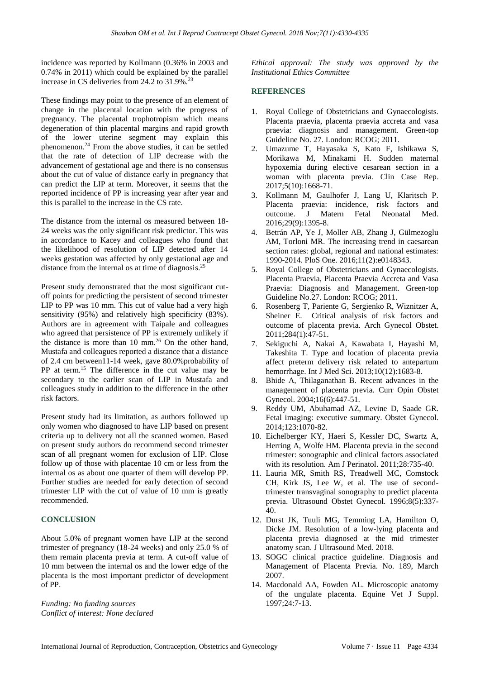incidence was reported by Kollmann (0.36% in 2003 and 0.74% in 2011) which could be explained by the parallel increase in CS deliveries from  $24.2$  to  $31.9\%$ .<sup>23</sup>

These findings may point to the presence of an element of change in the placental location with the progress of pregnancy. The placental trophotropism which means degeneration of thin placental margins and rapid growth of the lower uterine segment may explain this phenomenon.<sup>24</sup> From the above studies, it can be settled that the rate of detection of LIP decrease with the advancement of gestational age and there is no consensus about the cut of value of distance early in pregnancy that can predict the LIP at term. Moreover, it seems that the reported incidence of PP is increasing year after year and this is parallel to the increase in the CS rate.

The distance from the internal os measured between 18- 24 weeks was the only significant risk predictor. This was in accordance to Kacey and colleagues who found that the likelihood of resolution of LIP detected after 14 weeks gestation was affected by only gestational age and distance from the internal os at time of diagnosis.<sup>25</sup>

Present study demonstrated that the most significant cutoff points for predicting the persistent of second trimester LIP to PP was 10 mm. This cut of value had a very high sensitivity (95%) and relatively high specificity (83%). Authors are in agreement with Taipale and colleagues who agreed that persistence of PP is extremely unlikely if the distance is more than 10 mm.<sup>26</sup> On the other hand, Mustafa and colleagues reported a distance that a distance of 2.4 cm between11-14 week, gave 80.0%probability of PP at term.<sup>15</sup> The difference in the cut value may be secondary to the earlier scan of LIP in Mustafa and colleagues study in addition to the difference in the other risk factors.

Present study had its limitation, as authors followed up only women who diagnosed to have LIP based on present criteria up to delivery not all the scanned women. Based on present study authors do recommend second trimester scan of all pregnant women for exclusion of LIP. Close follow up of those with placentae 10 cm or less from the internal os as about one quarter of them will develop PP. Further studies are needed for early detection of second trimester LIP with the cut of value of 10 mm is greatly recommended.

## **CONCLUSION**

About 5.0% of pregnant women have LIP at the second trimester of pregnancy (18-24 weeks) and only 25.0 % of them remain placenta previa at term. A cut-off value of 10 mm between the internal os and the lower edge of the placenta is the most important predictor of development of PP.

*Funding: No funding sources Conflict of interest: None declared* *Ethical approval: The study was approved by the Institutional Ethics Committee*

## **REFERENCES**

- 1. Royal College of Obstetricians and Gynaecologists. Placenta praevia, placenta praevia accreta and vasa praevia: diagnosis and management. Green-top Guideline No. 27. London: RCOG; 2011.
- 2. Umazume T, Hayasaka S, Kato F, Ishikawa S, Morikawa M, Minakami H. Sudden maternal hypoxemia during elective cesarean section in a woman with placenta previa. Clin Case Rep. 2017;5(10):1668-71.
- 3. Kollmann M, Gaulhofer J, Lang U, Klaritsch P. Placenta praevia: incidence, risk factors and outcome. J Matern Fetal Neonatal Med. 2016;29(9):1395-8.
- 4. Betrán AP, Ye J, Moller AB, Zhang J, Gülmezoglu AM, Torloni MR. The increasing trend in caesarean section rates: global, regional and national estimates: 1990-2014. PloS One. 2016;11(2):e0148343.
- 5. Royal College of Obstetricians and Gynaecologists. Placenta Praevia, Placenta Praevia Accreta and Vasa Praevia: Diagnosis and Management. Green-top Guideline No.27. London: RCOG; 2011.
- 6. Rosenberg T, Pariente G, Sergienko R, Wiznitzer A, Sheiner E. Critical analysis of risk factors and outcome of placenta previa. Arch Gynecol Obstet. 2011;284(1):47-51.
- 7. Sekiguchi A, Nakai A, Kawabata I, Hayashi M, Takeshita T. Type and location of placenta previa affect preterm delivery risk related to antepartum hemorrhage. Int J Med Sci. 2013;10(12):1683-8.
- 8. Bhide A, Thilaganathan B. Recent advances in the management of placenta previa. Curr Opin Obstet Gynecol. 2004;16(6):447-51.
- 9. Reddy UM, Abuhamad AZ, Levine D, Saade GR. Fetal imaging: executive summary. Obstet Gynecol. 2014;123:1070-82.
- 10. Eichelberger KY, Haeri S, Kessler DC, Swartz A, Herring A, Wolfe HM. Placenta previa in the second trimester: sonographic and clinical factors associated with its resolution. Am J Perinatol. 2011;28:735-40.
- 11. Lauria MR, Smith RS, Treadwell MC, Comstock CH, Kirk JS, Lee W, et al. The use of secondtrimester transvaginal sonography to predict placenta previa. Ultrasound Obstet Gynecol. 1996;8(5):337- 40.
- 12. Durst JK, Tuuli MG, Temming LA, Hamilton O, Dicke JM. Resolution of a low-lying placenta and placenta previa diagnosed at the mid trimester anatomy scan. J Ultrasound Med. 2018.
- 13. SOGC clinical practice guideline. Diagnosis and Management of Placenta Previa. No. 189, March 2007.
- 14. Macdonald AA, Fowden AL. Microscopic anatomy of the ungulate placenta. Equine Vet J Suppl. 1997;24:7-13.